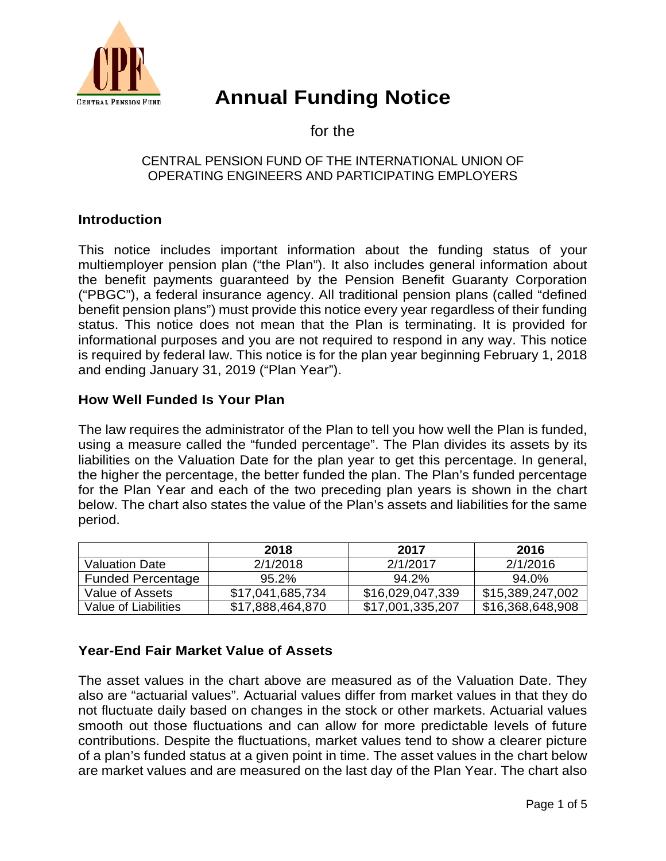

# **Annual Funding Notice**

for the

## CENTRAL PENSION FUND OF THE INTERNATIONAL UNION OF OPERATING ENGINEERS AND PARTICIPATING EMPLOYERS

# **Introduction**

This notice includes important information about the funding status of your multiemployer pension plan ("the Plan"). It also includes general information about the benefit payments guaranteed by the Pension Benefit Guaranty Corporation ("PBGC"), a federal insurance agency. All traditional pension plans (called "defined benefit pension plans") must provide this notice every year regardless of their funding status. This notice does not mean that the Plan is terminating. It is provided for informational purposes and you are not required to respond in any way. This notice is required by federal law. This notice is for the plan year beginning February 1, 2018 and ending January 31, 2019 ("Plan Year").

## **How Well Funded Is Your Plan**

The law requires the administrator of the Plan to tell you how well the Plan is funded, using a measure called the "funded percentage". The Plan divides its assets by its liabilities on the Valuation Date for the plan year to get this percentage. In general, the higher the percentage, the better funded the plan. The Plan's funded percentage for the Plan Year and each of the two preceding plan years is shown in the chart below. The chart also states the value of the Plan's assets and liabilities for the same period.

|                          | 2018             | 2017             | 2016             |
|--------------------------|------------------|------------------|------------------|
| <b>Valuation Date</b>    | 2/1/2018         | 2/1/2017         | 2/1/2016         |
| <b>Funded Percentage</b> | $95.2\%$         | $94.2\%$         | 94.0%            |
| Value of Assets          | \$17,041,685,734 | \$16,029,047,339 | \$15,389,247,002 |
| Value of Liabilities     | \$17,888,464,870 | \$17,001,335,207 | \$16,368,648,908 |

# **Year-End Fair Market Value of Assets**

The asset values in the chart above are measured as of the Valuation Date. They also are "actuarial values". Actuarial values differ from market values in that they do not fluctuate daily based on changes in the stock or other markets. Actuarial values smooth out those fluctuations and can allow for more predictable levels of future contributions. Despite the fluctuations, market values tend to show a clearer picture of a plan's funded status at a given point in time. The asset values in the chart below are market values and are measured on the last day of the Plan Year. The chart also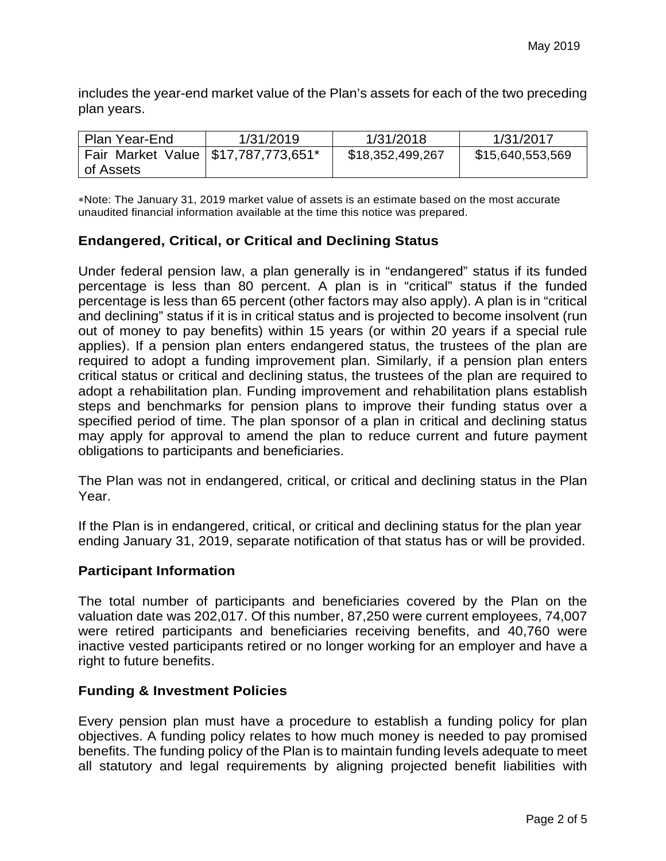includes the year-end market value of the Plan's assets for each of the two preceding plan years.

| Plan Year-End                         | 1/31/2019 | 1/31/2018        | 1/31/2017        |
|---------------------------------------|-----------|------------------|------------------|
| Fair Market Value   \$17,787,773,651* |           | \$18,352,499,267 | \$15,640,553,569 |
| of Assets                             |           |                  |                  |

∗Note: The January 31, 2019 market value of assets is an estimate based on the most accurate unaudited financial information available at the time this notice was prepared.

# **Endangered, Critical, or Critical and Declining Status**

Under federal pension law, a plan generally is in "endangered" status if its funded percentage is less than 80 percent. A plan is in "critical" status if the funded percentage is less than 65 percent (other factors may also apply). A plan is in "critical and declining" status if it is in critical status and is projected to become insolvent (run out of money to pay benefits) within 15 years (or within 20 years if a special rule applies). If a pension plan enters endangered status, the trustees of the plan are required to adopt a funding improvement plan. Similarly, if a pension plan enters critical status or critical and declining status, the trustees of the plan are required to adopt a rehabilitation plan. Funding improvement and rehabilitation plans establish steps and benchmarks for pension plans to improve their funding status over a specified period of time. The plan sponsor of a plan in critical and declining status may apply for approval to amend the plan to reduce current and future payment obligations to participants and beneficiaries.

The Plan was not in endangered, critical, or critical and declining status in the Plan Year.

If the Plan is in endangered, critical, or critical and declining status for the plan year ending January 31, 2019, separate notification of that status has or will be provided.

## **Participant Information**

The total number of participants and beneficiaries covered by the Plan on the valuation date was 202,017. Of this number, 87,250 were current employees, 74,007 were retired participants and beneficiaries receiving benefits, and 40,760 were inactive vested participants retired or no longer working for an employer and have a right to future benefits.

#### **Funding & Investment Policies**

Every pension plan must have a procedure to establish a funding policy for plan objectives. A funding policy relates to how much money is needed to pay promised benefits. The funding policy of the Plan is to maintain funding levels adequate to meet all statutory and legal requirements by aligning projected benefit liabilities with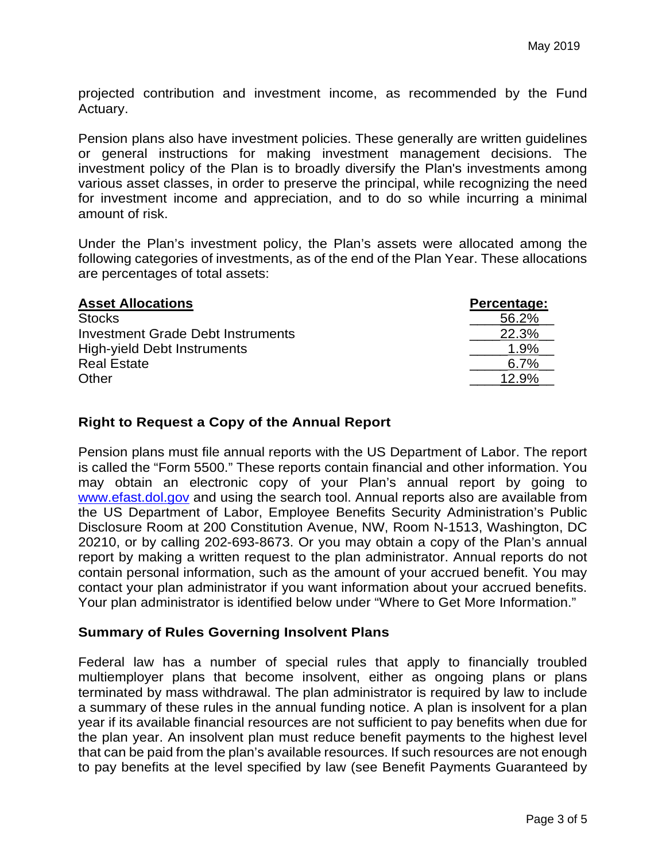projected contribution and investment income, as recommended by the Fund Actuary.

Pension plans also have investment policies. These generally are written guidelines or general instructions for making investment management decisions. The investment policy of the Plan is to broadly diversify the Plan's investments among various asset classes, in order to preserve the principal, while recognizing the need for investment income and appreciation, and to do so while incurring a minimal amount of risk.

Under the Plan's investment policy, the Plan's assets were allocated among the following categories of investments, as of the end of the Plan Year. These allocations are percentages of total assets:

| <b>Asset Allocations</b>                 | Percentage: |
|------------------------------------------|-------------|
| <b>Stocks</b>                            | 56.2%       |
| <b>Investment Grade Debt Instruments</b> | 22.3%       |
| High-yield Debt Instruments              | 1.9%        |
| <b>Real Estate</b>                       | 6.7%        |
| Other                                    | 12.9%       |

#### **Right to Request a Copy of the Annual Report**

Pension plans must file annual reports with the US Department of Labor. The report is called the "Form 5500." These reports contain financial and other information. You may obtain an electronic copy of your Plan's annual report by going to [www.efast.dol.gov](http://www.efast.dol.gov/) and using the search tool. Annual reports also are available from the US Department of Labor, Employee Benefits Security Administration's Public Disclosure Room at 200 Constitution Avenue, NW, Room N-1513, Washington, DC 20210, or by calling 202-693-8673. Or you may obtain a copy of the Plan's annual report by making a written request to the plan administrator. Annual reports do not contain personal information, such as the amount of your accrued benefit. You may contact your plan administrator if you want information about your accrued benefits. Your plan administrator is identified below under "Where to Get More Information."

## **Summary of Rules Governing Insolvent Plans**

Federal law has a number of special rules that apply to financially troubled multiemployer plans that become insolvent, either as ongoing plans or plans terminated by mass withdrawal. The plan administrator is required by law to include a summary of these rules in the annual funding notice. A plan is insolvent for a plan year if its available financial resources are not sufficient to pay benefits when due for the plan year. An insolvent plan must reduce benefit payments to the highest level that can be paid from the plan's available resources. If such resources are not enough to pay benefits at the level specified by law (see Benefit Payments Guaranteed by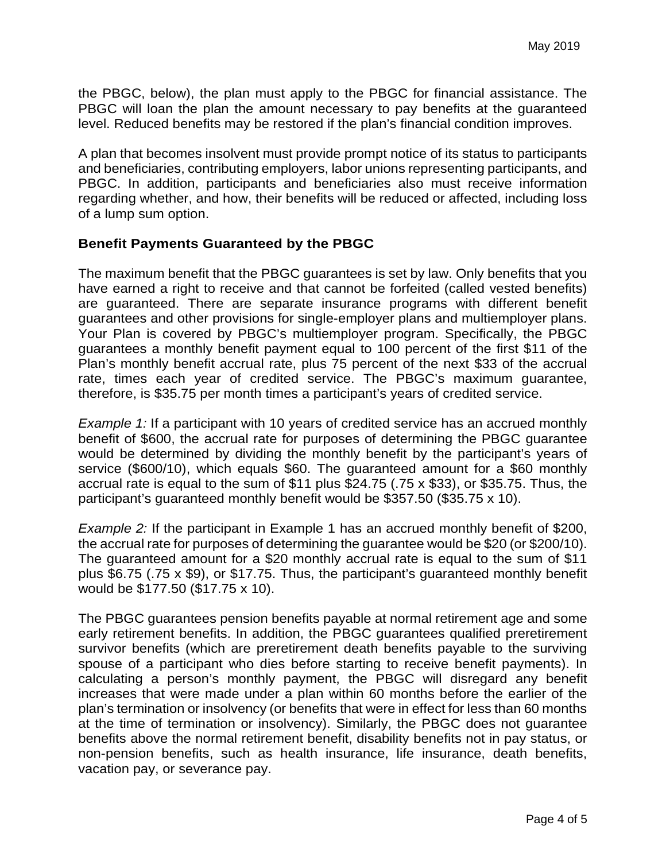the PBGC, below), the plan must apply to the PBGC for financial assistance. The PBGC will loan the plan the amount necessary to pay benefits at the guaranteed level. Reduced benefits may be restored if the plan's financial condition improves.

A plan that becomes insolvent must provide prompt notice of its status to participants and beneficiaries, contributing employers, labor unions representing participants, and PBGC. In addition, participants and beneficiaries also must receive information regarding whether, and how, their benefits will be reduced or affected, including loss of a lump sum option.

#### **Benefit Payments Guaranteed by the PBGC**

The maximum benefit that the PBGC guarantees is set by law. Only benefits that you have earned a right to receive and that cannot be forfeited (called vested benefits) are guaranteed. There are separate insurance programs with different benefit guarantees and other provisions for single-employer plans and multiemployer plans. Your Plan is covered by PBGC's multiemployer program. Specifically, the PBGC guarantees a monthly benefit payment equal to 100 percent of the first \$11 of the Plan's monthly benefit accrual rate, plus 75 percent of the next \$33 of the accrual rate, times each year of credited service. The PBGC's maximum guarantee, therefore, is \$35.75 per month times a participant's years of credited service.

*Example 1:* If a participant with 10 years of credited service has an accrued monthly benefit of \$600, the accrual rate for purposes of determining the PBGC guarantee would be determined by dividing the monthly benefit by the participant's years of service (\$600/10), which equals \$60. The guaranteed amount for a \$60 monthly accrual rate is equal to the sum of \$11 plus \$24.75 (.75 x \$33), or \$35.75. Thus, the participant's guaranteed monthly benefit would be \$357.50 (\$35.75 x 10).

*Example 2:* If the participant in Example 1 has an accrued monthly benefit of \$200, the accrual rate for purposes of determining the guarantee would be \$20 (or \$200/10). The guaranteed amount for a \$20 monthly accrual rate is equal to the sum of \$11 plus \$6.75 (.75 x \$9), or \$17.75. Thus, the participant's guaranteed monthly benefit would be \$177.50 (\$17.75 x 10).

The PBGC guarantees pension benefits payable at normal retirement age and some early retirement benefits. In addition, the PBGC guarantees qualified preretirement survivor benefits (which are preretirement death benefits payable to the surviving spouse of a participant who dies before starting to receive benefit payments). In calculating a person's monthly payment, the PBGC will disregard any benefit increases that were made under a plan within 60 months before the earlier of the plan's termination or insolvency (or benefits that were in effect for less than 60 months at the time of termination or insolvency). Similarly, the PBGC does not guarantee benefits above the normal retirement benefit, disability benefits not in pay status, or non-pension benefits, such as health insurance, life insurance, death benefits, vacation pay, or severance pay.